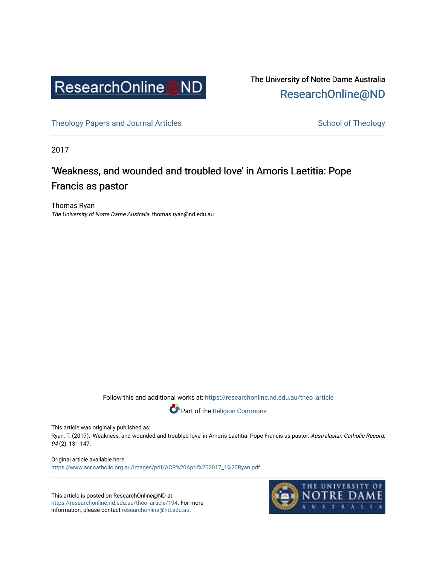

The University of Notre Dame Australia [ResearchOnline@ND](https://researchonline.nd.edu.au/) 

[Theology Papers and Journal Articles](https://researchonline.nd.edu.au/theo_article) and [School of Theology](https://researchonline.nd.edu.au/theo) School of Theology

2017

# 'Weakness, and wounded and troubled love' in Amoris Laetitia: Pope Francis as pastor

Thomas Ryan The University of Notre Dame Australia, thomas.ryan@nd.edu.au

Follow this and additional works at: [https://researchonline.nd.edu.au/theo\\_article](https://researchonline.nd.edu.au/theo_article?utm_source=researchonline.nd.edu.au%2Ftheo_article%2F194&utm_medium=PDF&utm_campaign=PDFCoverPages) 



This article was originally published as:

Ryan, T. (2017). 'Weakness, and wounded and troubled love' in Amoris Laetitia: Pope Francis as pastor. Australasian Catholic Record, 94 (2), 131-147.

Original article available here: [https://www.acr.catholic.org.au/images/pdf/ACR%20April%202017\\_1%20Ryan.pdf](https://www.acr.catholic.org.au/images/pdf/ACR%20April%202017_1%20Ryan.pdf) 

This article is posted on ResearchOnline@ND at [https://researchonline.nd.edu.au/theo\\_article/194](https://researchonline.nd.edu.au/theo_article/194). For more information, please contact [researchonline@nd.edu.au.](mailto:researchonline@nd.edu.au)

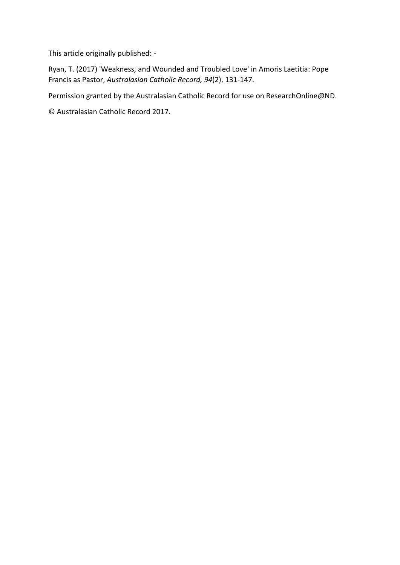This article originally published: -

Ryan, T. (2017) 'Weakness, and Wounded and Troubled Love' in Amoris Laetitia: Pope Francis as Pastor, *Australasian Catholic Record, 94*(2), 131-147.

Permission granted by the Australasian Catholic Record for use on ResearchOnline@ND.

© Australasian Catholic Record 2017.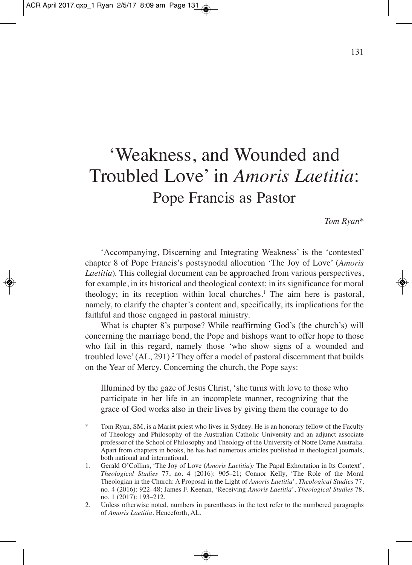# 'Weakness, and Wounded and Troubled Love' in *Amoris Laetitia*: Pope Francis as Pastor

*Tom Ryan\**

'Accompanying, Discerning and Integrating Weakness' is the 'contested' chapter 8 of Pope Francis's postsynodal allocution 'The Joy of Love' (*Amoris Laetitia*)*.* This collegial document can be approached from various perspectives, for example, in its historical and theological context; in its significance for moral theology; in its reception within local churches. <sup>1</sup> The aim here is pastoral, namely, to clarify the chapter's content and, specifically, its implications for the faithful and those engaged in pastoral ministry.

What is chapter 8's purpose? While reaffirming God's (the church's) will concerning the marriage bond, the Pope and bishops want to offer hope to those who fail in this regard, namely those 'who show signs of a wounded and troubled love'(AL, 291). <sup>2</sup> They offer a model of pastoral discernment that builds on the Year of Mercy. Concerning the church, the Pope says:

Illumined by the gaze of Jesus Christ, 'she turns with love to those who participate in her life in an incomplete manner, recognizing that the grace of God works also in their lives by giving them the courage to do

<sup>\*</sup> Tom Ryan, SM, is a Marist priest who lives in Sydney. He is an honorary fellow of the Faculty of Theology and Philosophy of the Australian Catholic University and an adjunct associate professor of the School of Philosophy and Theology of the University of Notre Dame Australia. Apart from chapters in books, he has had numerous articles published in theological journals, both national and international.

<sup>1.</sup> Gerald O'Collins, 'The Joy of Love (*Amoris Laetitia*)*:* The Papal Exhortation in Its Context', *Theological Studies* 77, no. 4 (2016): 905–21; Connor Kelly, 'The Role of the Moral Theologian in the Church: A Proposal in the Light of *Amoris Laetitia*', *Theological Studies* 77, no. 4 (2016): 922–48; James F. Keenan, 'Receiving *Amoris Laetitia*', *Theological Studies* 78, no. 1 (2017): 193–212.

<sup>2.</sup> Unless otherwise noted, numbers in parentheses in the text refer to the numbered paragraphs of *Amoris Laetitia*. Henceforth, AL.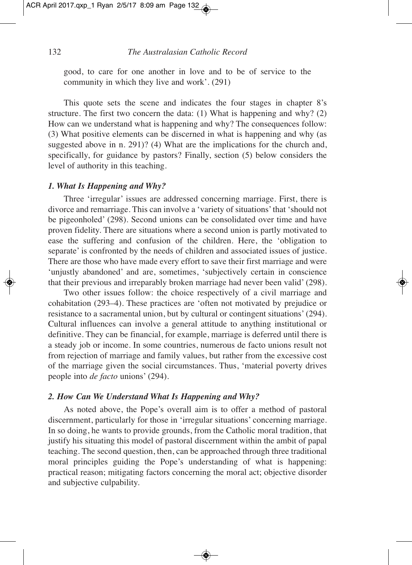good, to care for one another in love and to be of service to the community in which they live and work'. (291)

This quote sets the scene and indicates the four stages in chapter 8's structure. The first two concern the data: (1) What is happening and why? (2) How can we understand what is happening and why? The consequences follow: (3) What positive elements can be discerned in what is happening and why (as suggested above in n. 291)? (4) What are the implications for the church and, specifically, for guidance by pastors? Finally, section (5) below considers the level of authority in this teaching.

#### *1. What Is Happening and Why?*

Three 'irregular' issues are addressed concerning marriage. First, there is divorce and remarriage. This can involve a 'variety of situations'that 'should not be pigeonholed' (298). Second unions can be consolidated over time and have proven fidelity. There are situations where a second union is partly motivated to ease the suffering and confusion of the children. Here, the 'obligation to separate' is confronted by the needs of children and associated issues of justice. There are those who have made every effort to save their first marriage and were 'unjustly abandoned' and are, sometimes, 'subjectively certain in conscience that their previous and irreparably broken marriage had never been valid' (298).

Two other issues follow: the choice respectively of a civil marriage and cohabitation (293–4). These practices are 'often not motivated by prejudice or resistance to a sacramental union, but by cultural or contingent situations' (294). Cultural influences can involve a general attitude to anything institutional or definitive. They can be financial, for example, marriage is deferred until there is a steady job or income. In some countries, numerous de facto unions result not from rejection of marriage and family values, but rather from the excessive cost of the marriage given the social circumstances. Thus, 'material poverty drives people into *de facto* unions' (294).

#### *2. How Can We Understand What Is Happening and Why?*

As noted above, the Pope's overall aim is to offer a method of pastoral discernment, particularly for those in 'irregular situations' concerning marriage. In so doing, he wants to provide grounds, from the Catholic moral tradition, that justify his situating this model of pastoral discernment within the ambit of papal teaching. The second question, then, can be approached through three traditional moral principles guiding the Pope's understanding of what is happening: practical reason; mitigating factors concerning the moral act; objective disorder and subjective culpability.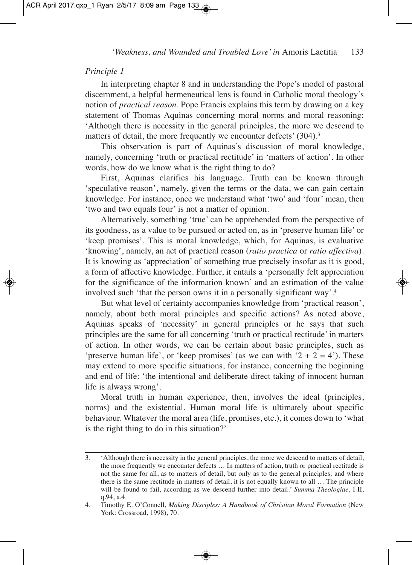#### *Principle 1*

In interpreting chapter 8 and in understanding the Pope's model of pastoral discernment, a helpful hermeneutical lens is found in Catholic moral theology's notion of *practical reason*. Pope Francis explains this term by drawing on a key statement of Thomas Aquinas concerning moral norms and moral reasoning: 'Although there is necessity in the general principles, the more we descend to matters of detail, the more frequently we encounter defects' (304).<sup>3</sup>

This observation is part of Aquinas's discussion of moral knowledge, namely, concerning 'truth or practical rectitude' in 'matters of action'. In other words, how do we know what is the right thing to do?

First, Aquinas clarifies his language. Truth can be known through 'speculative reason', namely, given the terms or the data, we can gain certain knowledge. For instance, once we understand what 'two' and 'four' mean, then 'two and two equals four' is not a matter of opinion.

Alternatively, something 'true' can be apprehended from the perspective of its goodness, as a value to be pursued or acted on, as in 'preserve human life' or 'keep promises'. This is moral knowledge, which, for Aquinas, is evaluative 'knowing', namely, an act of practical reason (*ratio practica* or *ratio affectiva*). It is knowing as 'appreciation' of something true precisely insofar as it is good, a form of affective knowledge. Further, it entails a 'personally felt appreciation for the significance of the information known' and an estimation of the value involved such 'that the person owns it in a personally significant way'. 4

But what level of certainty accompanies knowledge from 'practical reason', namely, about both moral principles and specific actions? As noted above, Aquinas speaks of 'necessity' in general principles or he says that such principles are the same for all concerning 'truth or practical rectitude' in matters of action. In other words, we can be certain about basic principles, such as 'preserve human life', or 'keep promises' (as we can with ' $2 + 2 = 4$ '). These may extend to more specific situations, for instance, concerning the beginning and end of life: 'the intentional and deliberate direct taking of innocent human life is always wrong'.

Moral truth in human experience, then, involves the ideal (principles, norms) and the existential. Human moral life is ultimately about specific behaviour. Whatever the moral area (life, promises, etc.), it comes down to 'what is the right thing to do in this situation?'

<sup>3.</sup> 'Although there is necessity in the general principles, the more we descend to matters of detail, the more frequently we encounter defects … In matters of action, truth or practical rectitude is not the same for all, as to matters of detail, but only as to the general principles; and where there is the same rectitude in matters of detail, it is not equally known to all … The principle will be found to fail, according as we descend further into detail.' *Summa Theologiae*, I-II, q.94, a.4.

<sup>4.</sup> Timothy E. O'Connell, *Making Disciples: A Handbook of Christian Moral Formation* (New York: Crossroad, 1998), 70.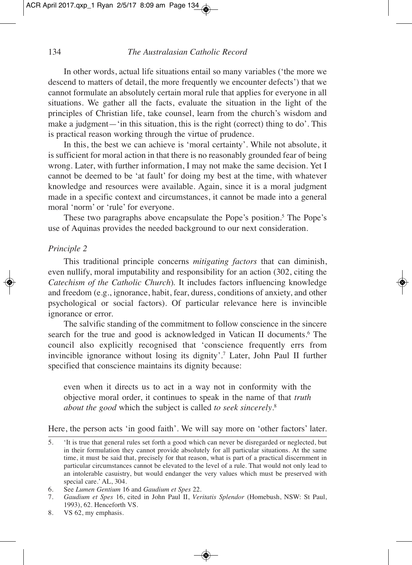In other words, actual life situations entail so many variables ('the more we descend to matters of detail, the more frequently we encounter defects') that we cannot formulate an absolutely certain moral rule that applies for everyone in all situations. We gather all the facts, evaluate the situation in the light of the principles of Christian life, take counsel, learn from the church's wisdom and make a judgment—'in this situation, this is the right (correct) thing to do'. This is practical reason working through the virtue of prudence.

In this, the best we can achieve is 'moral certainty'. While not absolute, it is sufficient for moral action in that there is no reasonably grounded fear of being wrong. Later, with further information, I may not make the same decision. Yet I cannot be deemed to be 'at fault' for doing my best at the time, with whatever knowledge and resources were available. Again, since it is a moral judgment made in a specific context and circumstances, it cannot be made into a general moral 'norm' or 'rule' for everyone.

These two paragraphs above encapsulate the Pope's position. <sup>5</sup> The Pope's use of Aquinas provides the needed background to our next consideration.

#### *Principle 2*

This traditional principle concerns *mitigating factors* that can diminish, even nullify, moral imputability and responsibility for an action (302, citing the *Catechism of the Catholic Church*)*.* It includes factors influencing knowledge and freedom (e.g., ignorance, habit, fear, duress, conditions of anxiety, and other psychological or social factors). Of particular relevance here is invincible ignorance or error.

The salvific standing of the commitment to follow conscience in the sincere search for the true and good is acknowledged in Vatican II documents. <sup>6</sup> The council also explicitly recognised that 'conscience frequently errs from invincible ignorance without losing its dignity'. <sup>7</sup> Later, John Paul II further specified that conscience maintains its dignity because:

even when it directs us to act in a way not in conformity with the objective moral order, it continues to speak in the name of that *truth about the good* which the subject is called *to seek sincerely*. 8

Here, the person acts 'in good faith'. We will say more on 'other factors' later.

<sup>5.</sup> 'It is true that general rules set forth a good which can never be disregarded or neglected, but in their formulation they cannot provide absolutely for all particular situations. At the same time, it must be said that, precisely for that reason, what is part of a practical discernment in particular circumstances cannot be elevated to the level of a rule. That would not only lead to an intolerable casuistry, but would endanger the very values which must be preserved with special care.' AL, 304.

<sup>6.</sup> See *Lumen Gentium* 16 and *Gaudium et Spes* 22.

<sup>7.</sup> *Gaudium et Spes* 16, cited in John Paul II, *Veritatis Splendor* (Homebush, NSW: St Paul, 1993), 62. Henceforth VS.

<sup>8.</sup> VS 62, my emphasis.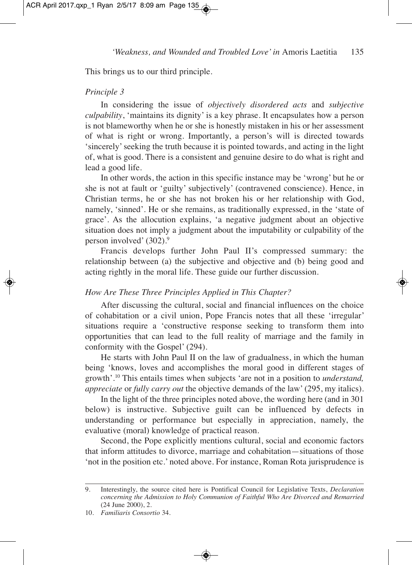This brings us to our third principle.

#### *Principle 3*

In considering the issue of *objectively disordered acts* and *subjective culpability*, 'maintains its dignity' is a key phrase. It encapsulates how a person is not blameworthy when he or she is honestly mistaken in his or her assessment of what is right or wrong. Importantly, a person's will is directed towards 'sincerely'seeking the truth because it is pointed towards, and acting in the light of, what is good. There is a consistent and genuine desire to do what is right and lead a good life.

In other words, the action in this specific instance may be 'wrong' but he or she is not at fault or 'guilty' subjectively' (contravened conscience). Hence, in Christian terms, he or she has not broken his or her relationship with God, namely, 'sinned'. He or she remains, as traditionally expressed, in the 'state of grace'. As the allocution explains, 'a negative judgment about an objective situation does not imply a judgment about the imputability or culpability of the person involved' (302). 9

Francis develops further John Paul II's compressed summary: the relationship between (a) the subjective and objective and (b) being good and acting rightly in the moral life. These guide our further discussion.

#### *How Are These Three Principles Applied in This Chapter?*

After discussing the cultural, social and financial influences on the choice of cohabitation or a civil union, Pope Francis notes that all these 'irregular' situations require a 'constructive response seeking to transform them into opportunities that can lead to the full reality of marriage and the family in conformity with the Gospel' (294).

He starts with John Paul II on the law of gradualness, in which the human being 'knows, loves and accomplishes the moral good in different stages of growth'. <sup>10</sup> This entails times when subjects 'are not in a position to *understand, appreciate* or *fully carry out* the objective demands of the law' (295, my italics).

In the light of the three principles noted above, the wording here (and in 301 below) is instructive. Subjective guilt can be influenced by defects in understanding or performance but especially in appreciation, namely, the evaluative (moral) knowledge of practical reason.

Second, the Pope explicitly mentions cultural, social and economic factors that inform attitudes to divorce, marriage and cohabitation—situations of those 'not in the position etc.' noted above. For instance, Roman Rota jurisprudence is

<sup>9.</sup> Interestingly, the source cited here is Pontifical Council for Legislative Texts, *Declaration concerning the Admission to Holy Communion of Faithful Who Are Divorced and Remarried* (24 June 2000), 2.

<sup>10.</sup> *Familiaris Consortio* 34.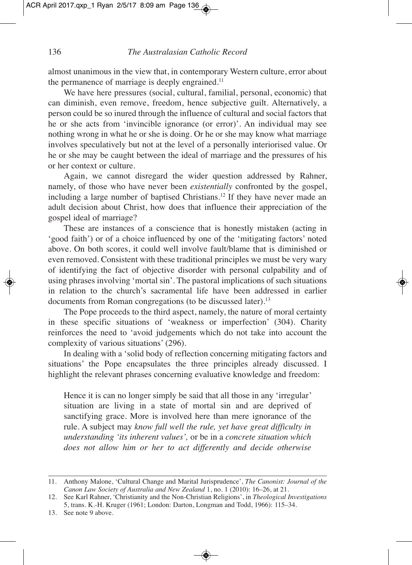almost unanimous in the view that, in contemporary Western culture, error about the permanence of marriage is deeply engrained.<sup>11</sup>

We have here pressures (social, cultural, familial, personal, economic) that can diminish, even remove, freedom, hence subjective guilt. Alternatively, a person could be so inured through the influence of cultural and social factors that he or she acts from 'invincible ignorance (or error)'. An individual may see nothing wrong in what he or she is doing. Or he or she may know what marriage involves speculatively but not at the level of a personally interiorised value. Or he or she may be caught between the ideal of marriage and the pressures of his or her context or culture.

Again, we cannot disregard the wider question addressed by Rahner, namely, of those who have never been *existentially* confronted by the gospel, including a large number of baptised Christians. <sup>12</sup> If they have never made an adult decision about Christ, how does that influence their appreciation of the gospel ideal of marriage?

These are instances of a conscience that is honestly mistaken (acting in 'good faith') or of a choice influenced by one of the 'mitigating factors' noted above. On both scores, it could well involve fault/blame that is diminished or even removed. Consistent with these traditional principles we must be very wary of identifying the fact of objective disorder with personal culpability and of using phrases involving 'mortal sin'. The pastoral implications of such situations in relation to the church's sacramental life have been addressed in earlier documents from Roman congregations (to be discussed later). 13

The Pope proceeds to the third aspect, namely, the nature of moral certainty in these specific situations of 'weakness or imperfection' (304). Charity reinforces the need to 'avoid judgements which do not take into account the complexity of various situations' (296).

In dealing with a 'solid body of reflection concerning mitigating factors and situations' the Pope encapsulates the three principles already discussed. I highlight the relevant phrases concerning evaluative knowledge and freedom:

Hence it is can no longer simply be said that all those in any 'irregular' situation are living in a state of mortal sin and are deprived of sanctifying grace. More is involved here than mere ignorance of the rule. A subject may *know full well the rule, yet have great difficulty in understanding 'its inherent values',* or be in a *concrete situation which does not allow him or her to act differently and decide otherwise*

<sup>11.</sup> Anthony Malone, 'Cultural Change and Marital Jurisprudence', *The Canonist: Journal of the Canon Law Society of Australia and New Zealand* 1, no. 1 (2010): 16–26, at 21.

<sup>12.</sup> See Karl Rahner, 'Christianity and the Non-Christian Religions', in *Theological Investigations* 5, trans. K.-H. Kruger (1961; London: Darton, Longman and Todd, 1966): 115–34.

<sup>13.</sup> See note 9 above.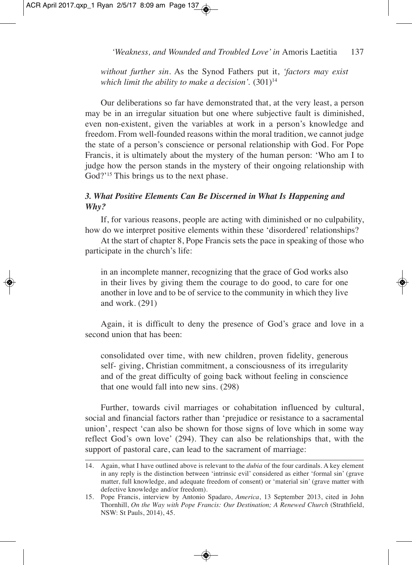ACR April 2017.qxp\_1 Ryan 2/5/17 8:09 am Page 137

*'Weakness, and Wounded and Troubled Love'in* Amoris Laetitia 137

*without further sin*. As the Synod Fathers put it, *'factors may exist which limit the ability to make a decision'.*  $(301)^{14}$ 

Our deliberations so far have demonstrated that, at the very least, a person may be in an irregular situation but one where subjective fault is diminished, even non-existent, given the variables at work in a person's knowledge and freedom. From well-founded reasons within the moral tradition, we cannot judge the state of a person's conscience or personal relationship with God. For Pope Francis, it is ultimately about the mystery of the human person: 'Who am I to judge how the person stands in the mystery of their ongoing relationship with God?'<sup>15</sup> This brings us to the next phase.

## *3. What Positive Elements Can Be Discerned in What Is Happening and Why?*

If, for various reasons, people are acting with diminished or no culpability, how do we interpret positive elements within these 'disordered' relationships?

At the start of chapter 8, Pope Francis sets the pace in speaking of those who participate in the church's life:

in an incomplete manner, recognizing that the grace of God works also in their lives by giving them the courage to do good, to care for one another in love and to be of service to the community in which they live and work. (291)

Again, it is difficult to deny the presence of God's grace and love in a second union that has been:

consolidated over time, with new children, proven fidelity, generous self- giving, Christian commitment, a consciousness of its irregularity and of the great difficulty of going back without feeling in conscience that one would fall into new sins. (298)

Further, towards civil marriages or cohabitation influenced by cultural, social and financial factors rather than 'prejudice or resistance to a sacramental union', respect 'can also be shown for those signs of love which in some way reflect God's own love' (294). They can also be relationships that, with the support of pastoral care, can lead to the sacrament of marriage:

<sup>14.</sup> Again, what I have outlined above is relevant to the *dubia* of the four cardinals. A key element in any reply is the distinction between 'intrinsic evil' considered as either 'formal sin' (grave matter, full knowledge, and adequate freedom of consent) or 'material sin' (grave matter with defective knowledge and/or freedom).

<sup>15.</sup> Pope Francis, interview by Antonio Spadaro, *America*, 13 September 2013, cited in John Thornhill, *On the Way with Pope Francis: Our Destination; A Renewed Church* (Strathfield, NSW: St Pauls, 2014), 45.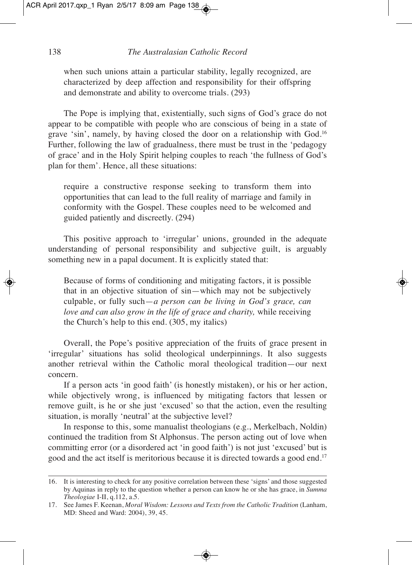when such unions attain a particular stability, legally recognized, are characterized by deep affection and responsibility for their offspring and demonstrate and ability to overcome trials. (293)

The Pope is implying that, existentially, such signs of God's grace do not appear to be compatible with people who are conscious of being in a state of grave 'sin', namely, by having closed the door on a relationship with God. 16 Further, following the law of gradualness, there must be trust in the 'pedagogy of grace' and in the Holy Spirit helping couples to reach 'the fullness of God's plan for them'. Hence, all these situations:

require a constructive response seeking to transform them into opportunities that can lead to the full reality of marriage and family in conformity with the Gospel. These couples need to be welcomed and guided patiently and discreetly. (294)

This positive approach to 'irregular' unions, grounded in the adequate understanding of personal responsibility and subjective guilt, is arguably something new in a papal document. It is explicitly stated that:

Because of forms of conditioning and mitigating factors, it is possible that in an objective situation of sin—which may not be subjectively culpable, or fully such—*a person can be living in God's grace, can love and can also grow in the life of grace and charity,* while receiving the Church's help to this end. (305, my italics)

Overall, the Pope's positive appreciation of the fruits of grace present in 'irregular' situations has solid theological underpinnings. It also suggests another retrieval within the Catholic moral theological tradition—our next concern.

If a person acts 'in good faith' (is honestly mistaken), or his or her action, while objectively wrong, is influenced by mitigating factors that lessen or remove guilt, is he or she just 'excused' so that the action, even the resulting situation, is morally 'neutral' at the subjective level?

In response to this, some manualist theologians (e.g., Merkelbach, Noldin) continued the tradition from St Alphonsus. The person acting out of love when committing error (or a disordered act 'in good faith') is not just 'excused' but is good and the act itself is meritorious because it is directed towards a good end. 17

<sup>16.</sup> It is interesting to check for any positive correlation between these 'signs' and those suggested by Aquinas in reply to the question whether a person can know he or she has grace, in *Summa Theologiae* I-II, q.112, a.5.

<sup>17.</sup> See James F. Keenan, *Moral Wisdom: Lessons and Texts from the Catholic Tradition* (Lanham, MD: Sheed and Ward: 2004), 39, 45.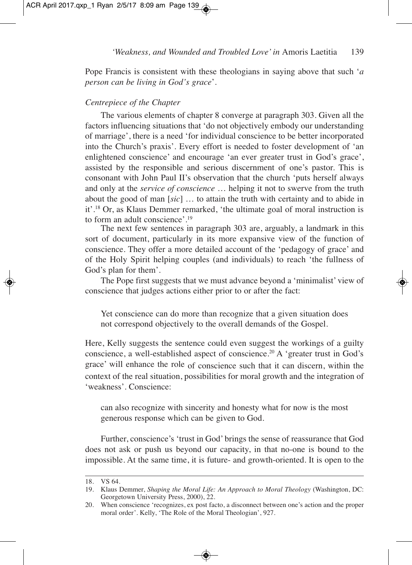ACR April 2017.qxp\_1 Ryan 2/5/17 8:09 am Page 139

*'Weakness, and Wounded and Troubled Love'in* Amoris Laetitia 139

Pope Francis is consistent with these theologians in saying above that such '*a person can be living in God's grace*'.

#### *Centrepiece of the Chapter*

The various elements of chapter 8 converge at paragraph 303. Given all the factors influencing situations that 'do not objectively embody our understanding of marriage', there is a need 'for individual conscience to be better incorporated into the Church's praxis'. Every effort is needed to foster development of 'an enlightened conscience' and encourage 'an ever greater trust in God's grace', assisted by the responsible and serious discernment of one's pastor. This is consonant with John Paul II's observation that the church 'puts herself always and only at the *service of conscience* … helping it not to swerve from the truth about the good of man [*sic*] … to attain the truth with certainty and to abide in it'. <sup>18</sup> Or, as Klaus Demmer remarked, 'the ultimate goal of moral instruction is to form an adult conscience'. 19

The next few sentences in paragraph 303 are, arguably, a landmark in this sort of document, particularly in its more expansive view of the function of conscience. They offer a more detailed account of the 'pedagogy of grace' and of the Holy Spirit helping couples (and individuals) to reach 'the fullness of God's plan for them'.

The Pope first suggests that we must advance beyond a 'minimalist' view of conscience that judges actions either prior to or after the fact:

Yet conscience can do more than recognize that a given situation does not correspond objectively to the overall demands of the Gospel.

Here, Kelly suggests the sentence could even suggest the workings of a guilty conscience, a well-established aspect of conscience. <sup>20</sup> A 'greater trust in God's grace' will enhance the role of conscience such that it can discern, within the context of the real situation, possibilities for moral growth and the integration of 'weakness'. Conscience:

can also recognize with sincerity and honesty what for now is the most generous response which can be given to God.

Further, conscience's 'trust in God' brings the sense of reassurance that God does not ask or push us beyond our capacity, in that no-one is bound to the impossible. At the same time, it is future- and growth-oriented. It is open to the

<sup>18.</sup> VS 64.

<sup>19.</sup> Klaus Demmer, *Shaping the Moral Life: An Approach to Moral Theology* (Washington, DC: Georgetown University Press, 2000), 22.

<sup>20.</sup> When conscience 'recognizes, ex post facto, a disconnect between one's action and the proper moral order'. Kelly, 'The Role of the Moral Theologian', 927.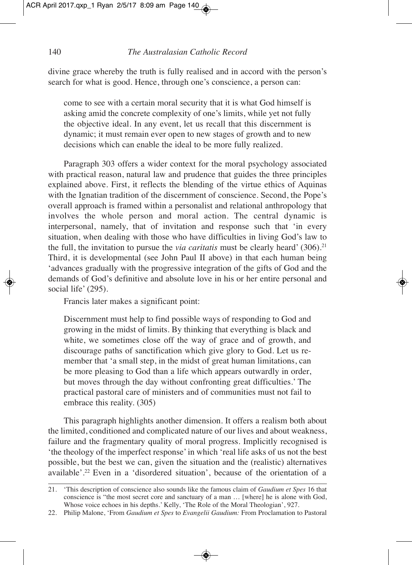ACR April 2017.qxp\_1 Ryan 2/5/17 8:09 am Page 140

#### 140 *The Australasian Catholic Record*

divine grace whereby the truth is fully realised and in accord with the person's search for what is good. Hence, through one's conscience, a person can:

come to see with a certain moral security that it is what God himself is asking amid the concrete complexity of one's limits, while yet not fully the objective ideal. In any event, let us recall that this discernment is dynamic; it must remain ever open to new stages of growth and to new decisions which can enable the ideal to be more fully realized.

Paragraph 303 offers a wider context for the moral psychology associated with practical reason, natural law and prudence that guides the three principles explained above. First, it reflects the blending of the virtue ethics of Aquinas with the Ignatian tradition of the discernment of conscience. Second, the Pope's overall approach is framed within a personalist and relational anthropology that involves the whole person and moral action. The central dynamic is interpersonal, namely, that of invitation and response such that 'in every situation, when dealing with those who have difficulties in living God's law to the full, the invitation to pursue the *via caritatis* must be clearly heard' (306). 21 Third, it is developmental (see John Paul II above) in that each human being 'advances gradually with the progressive integration of the gifts of God and the demands of God's definitive and absolute love in his or her entire personal and social life' (295).

Francis later makes a significant point:

Discernment must help to find possible ways of responding to God and growing in the midst of limits. By thinking that everything is black and white, we sometimes close off the way of grace and of growth, and discourage paths of sanctification which give glory to God. Let us remember that 'a small step, in the midst of great human limitations, can be more pleasing to God than a life which appears outwardly in order, but moves through the day without confronting great difficulties.' The practical pastoral care of ministers and of communities must not fail to embrace this reality. (305)

This paragraph highlights another dimension. It offers a realism both about the limited, conditioned and complicated nature of our lives and about weakness, failure and the fragmentary quality of moral progress. Implicitly recognised is 'the theology of the imperfect response'in which 'real life asks of us not the best possible, but the best we can, given the situation and the (realistic) alternatives available'. <sup>22</sup> Even in a 'disordered situation', because of the orientation of a

<sup>21.</sup> 'This description of conscience also sounds like the famous claim of *Gaudium et Spes* 16 that conscience is "the most secret core and sanctuary of a man … [where] he is alone with God, Whose voice echoes in his depths.' Kelly, 'The Role of the Moral Theologian', 927.

<sup>22.</sup> Philip Malone, 'From *Gaudium et Spes* to *Evangelii Gaudium:* From Proclamation to Pastoral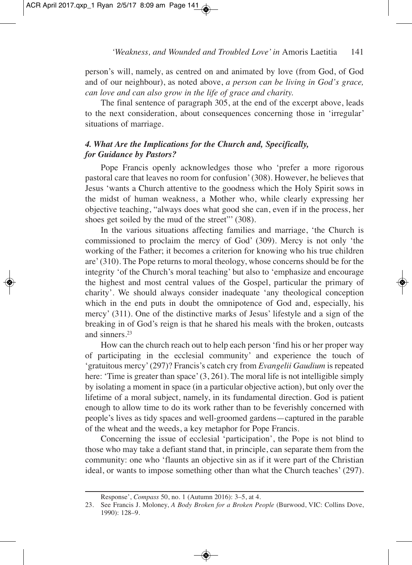person's will, namely, as centred on and animated by love (from God, of God and of our neighbour), as noted above, *a person can be living in God's grace, can love and can also grow in the life of grace and charity.*

The final sentence of paragraph 305, at the end of the excerpt above, leads to the next consideration, about consequences concerning those in 'irregular' situations of marriage.

## *4. What Are the Implications for the Church and, Specifically, for Guidance by Pastors?*

Pope Francis openly acknowledges those who 'prefer a more rigorous pastoral care that leaves no room for confusion'(308). However, he believes that Jesus 'wants a Church attentive to the goodness which the Holy Spirit sows in the midst of human weakness, a Mother who, while clearly expressing her objective teaching, "always does what good she can, even if in the process, her shoes get soiled by the mud of the street"' (308).

In the various situations affecting families and marriage, 'the Church is commissioned to proclaim the mercy of God' (309). Mercy is not only 'the working of the Father; it becomes a criterion for knowing who his true children are'(310). The Pope returns to moral theology, whose concerns should be for the integrity 'of the Church's moral teaching' but also to 'emphasize and encourage the highest and most central values of the Gospel, particular the primary of charity'. We should always consider inadequate 'any theological conception which in the end puts in doubt the omnipotence of God and, especially, his mercy' (311). One of the distinctive marks of Jesus' lifestyle and a sign of the breaking in of God's reign is that he shared his meals with the broken, outcasts and sinners. 23

How can the church reach out to help each person 'find his or her proper way of participating in the ecclesial community' and experience the touch of 'gratuitous mercy'(297)? Francis's catch cry from *Evangelii Gaudium* is repeated here: 'Time is greater than space' (3, 261). The moral life is not intelligible simply by isolating a moment in space (in a particular objective action), but only over the lifetime of a moral subject, namely, in its fundamental direction. God is patient enough to allow time to do its work rather than to be feverishly concerned with people's lives as tidy spaces and well-groomed gardens—captured in the parable of the wheat and the weeds, a key metaphor for Pope Francis.

Concerning the issue of ecclesial 'participation', the Pope is not blind to those who may take a defiant stand that, in principle, can separate them from the community: one who 'flaunts an objective sin as if it were part of the Christian ideal, or wants to impose something other than what the Church teaches' (297).

Response', *Compass* 50, no. 1 (Autumn 2016): 3–5, at 4.

<sup>23.</sup> See Francis J. Moloney, *A Body Broken for a Broken People* (Burwood, VIC: Collins Dove, 1990): 128–9.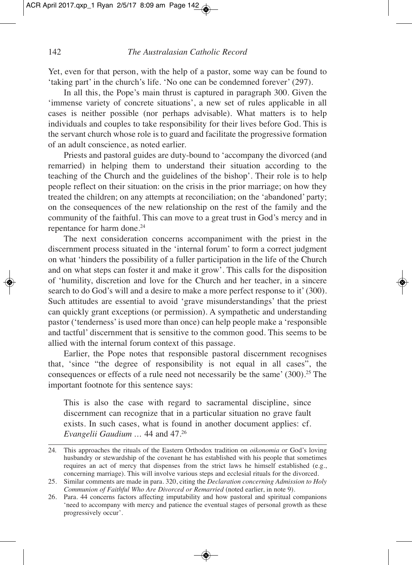Yet, even for that person, with the help of a pastor, some way can be found to 'taking part' in the church's life. 'No one can be condemned forever' (297).

In all this, the Pope's main thrust is captured in paragraph 300. Given the 'immense variety of concrete situations', a new set of rules applicable in all cases is neither possible (nor perhaps advisable). What matters is to help individuals and couples to take responsibility for their lives before God. This is the servant church whose role is to guard and facilitate the progressive formation of an adult conscience, as noted earlier.

Priests and pastoral guides are duty-bound to 'accompany the divorced (and remarried) in helping them to understand their situation according to the teaching of the Church and the guidelines of the bishop'. Their role is to help people reflect on their situation: on the crisis in the prior marriage; on how they treated the children; on any attempts at reconciliation; on the 'abandoned' party; on the consequences of the new relationship on the rest of the family and the community of the faithful. This can move to a great trust in God's mercy and in repentance for harm done. 24

The next consideration concerns accompaniment with the priest in the discernment process situated in the 'internal forum' to form a correct judgment on what 'hinders the possibility of a fuller participation in the life of the Church and on what steps can foster it and make it grow'. This calls for the disposition of 'humility, discretion and love for the Church and her teacher, in a sincere search to do God's will and a desire to make a more perfect response to it'(300). Such attitudes are essential to avoid 'grave misunderstandings' that the priest can quickly grant exceptions (or permission). A sympathetic and understanding pastor ('tenderness'is used more than once) can help people make a 'responsible and tactful' discernment that is sensitive to the common good. This seems to be allied with the internal forum context of this passage.

Earlier, the Pope notes that responsible pastoral discernment recognises that, 'since "the degree of responsibility is not equal in all cases", the consequences or effects of a rule need not necessarily be the same' (300). <sup>25</sup> The important footnote for this sentence says:

This is also the case with regard to sacramental discipline, since discernment can recognize that in a particular situation no grave fault exists. In such cases, what is found in another document applies: cf. *Evangelii Gaudium …* 44 and 47. 26

◈

<sup>24</sup>*.* This approaches the rituals of the Eastern Orthodox tradition on *oikonomia* or God's loving husbandry or stewardship of the covenant he has established with his people that sometimes requires an act of mercy that dispenses from the strict laws he himself established (e.g., concerning marriage). This will involve various steps and ecclesial rituals for the divorced.

<sup>25.</sup> Similar comments are made in para. 320, citing the *Declaration concerning Admission to Holy Communion of Faithful Who Are Divorced or Remarried* (noted earlier, in note 9).

<sup>26.</sup> Para. 44 concerns factors affecting imputability and how pastoral and spiritual companions 'need to accompany with mercy and patience the eventual stages of personal growth as these progressively occur'.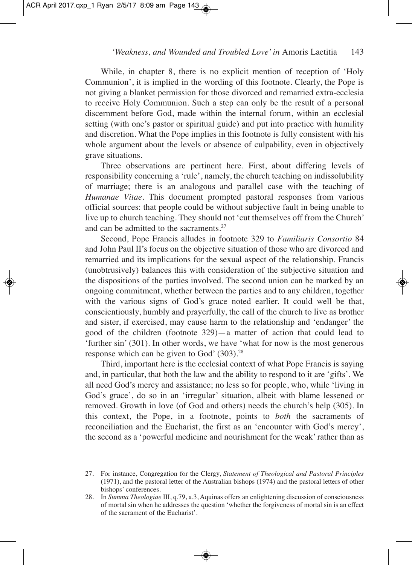While, in chapter 8, there is no explicit mention of reception of 'Holy Communion', it is implied in the wording of this footnote. Clearly, the Pope is not giving a blanket permission for those divorced and remarried extra-ecclesia to receive Holy Communion. Such a step can only be the result of a personal discernment before God, made within the internal forum, within an ecclesial setting (with one's pastor or spiritual guide) and put into practice with humility and discretion. What the Pope implies in this footnote is fully consistent with his whole argument about the levels or absence of culpability, even in objectively grave situations.

Three observations are pertinent here. First, about differing levels of responsibility concerning a 'rule', namely, the church teaching on indissolubility of marriage; there is an analogous and parallel case with the teaching of *Humanae Vitae*. This document prompted pastoral responses from various official sources: that people could be without subjective fault in being unable to live up to church teaching. They should not 'cut themselves off from the Church' and can be admitted to the sacraments. 27

Second, Pope Francis alludes in footnote 329 to *Familiaris Consortio* 84 and John Paul II's focus on the objective situation of those who are divorced and remarried and its implications for the sexual aspect of the relationship. Francis (unobtrusively) balances this with consideration of the subjective situation and the dispositions of the parties involved. The second union can be marked by an ongoing commitment, whether between the parties and to any children, together with the various signs of God's grace noted earlier. It could well be that, conscientiously, humbly and prayerfully, the call of the church to live as brother and sister, if exercised, may cause harm to the relationship and 'endanger' the good of the children (footnote 329)—a matter of action that could lead to 'further sin' (301). In other words, we have 'what for now is the most generous response which can be given to God' (303). 28

Third, important here is the ecclesial context of what Pope Francis is saying and, in particular, that both the law and the ability to respond to it are 'gifts'. We all need God's mercy and assistance; no less so for people, who, while 'living in God's grace', do so in an 'irregular' situation, albeit with blame lessened or removed. Growth in love (of God and others) needs the church's help (305). In this context, the Pope, in a footnote, points to *both* the sacraments of reconciliation and the Eucharist, the first as an 'encounter with God's mercy', the second as a 'powerful medicine and nourishment for the weak'rather than as

<sup>27.</sup> For instance, Congregation for the Clergy, *Statement of Theological and Pastoral Principles* (1971), and the pastoral letter of the Australian bishops (1974) and the pastoral letters of other bishops' conferences.

<sup>28.</sup> In *Summa Theologiae* III, q.79, a.3, Aquinas offers an enlightening discussion of consciousness of mortal sin when he addresses the question 'whether the forgiveness of mortal sin is an effect of the sacrament of the Eucharist'.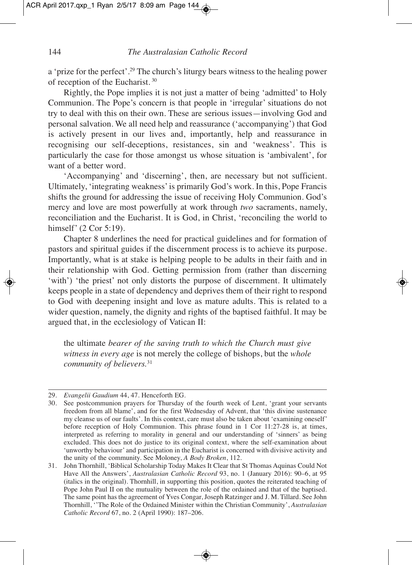a 'prize for the perfect'. <sup>29</sup> The church's liturgy bears witness to the healing power of reception of the Eucharist. <sup>30</sup>

Rightly, the Pope implies it is not just a matter of being 'admitted' to Holy Communion. The Pope's concern is that people in 'irregular' situations do not try to deal with this on their own. These are serious issues—involving God and personal salvation. We all need help and reassurance ('accompanying') that God is actively present in our lives and, importantly, help and reassurance in recognising our self-deceptions, resistances, sin and 'weakness'. This is particularly the case for those amongst us whose situation is 'ambivalent', for want of a better word.

'Accompanying' and 'discerning', then, are necessary but not sufficient. Ultimately, 'integrating weakness'is primarily God's work. In this, Pope Francis shifts the ground for addressing the issue of receiving Holy Communion. God's mercy and love are most powerfully at work through *two* sacraments, namely, reconciliation and the Eucharist. It is God, in Christ, 'reconciling the world to himself' (2 Cor 5:19).

Chapter 8 underlines the need for practical guidelines and for formation of pastors and spiritual guides if the discernment process is to achieve its purpose. Importantly, what is at stake is helping people to be adults in their faith and in their relationship with God. Getting permission from (rather than discerning 'with') 'the priest' not only distorts the purpose of discernment. It ultimately keeps people in a state of dependency and deprives them of their right to respond to God with deepening insight and love as mature adults. This is related to a wider question, namely, the dignity and rights of the baptised faithful. It may be argued that, in the ecclesiology of Vatican II:

the ultimate *bearer of the saving truth to which the Church must give witness in every age* is not merely the college of bishops, but the *whole community of believers.* 31

<sup>29.</sup> *Evangelii Gaudium* 44, 47. Henceforth EG.

<sup>30.</sup> See postcommunion prayers for Thursday of the fourth week of Lent, 'grant your servants freedom from all blame', and for the first Wednesday of Advent, that 'this divine sustenance my cleanse us of our faults'. In this context, care must also be taken about 'examining oneself' before reception of Holy Communion. This phrase found in 1 Cor 11:27-28 is, at times, interpreted as referring to morality in general and our understanding of 'sinners' as being excluded. This does not do justice to its original context, where the self-examination about 'unworthy behaviour' and participation in the Eucharist is concerned with divisive activity and the unity of the community. See Moloney, *A Body Broken*, 112.

<sup>31.</sup> John Thornhill, 'Biblical Scholarship Today Makes It Clear that St Thomas Aquinas Could Not Have All the Answers', *Australasian Catholic Record* 93, no. 1 (January 2016): 90–6, at 95 (italics in the original). Thornhill, in supporting this position, quotes the reiterated teaching of Pope John Paul II on the mutuality between the role of the ordained and that of the baptised. The same point has the agreement of Yves Congar, Joseph Ratzinger and J. M. Tillard. See John Thornhill, ''The Role of the Ordained Minister within the Christian Community', *Australasian Catholic Record* 67, no. 2 (April 1990): 187–206.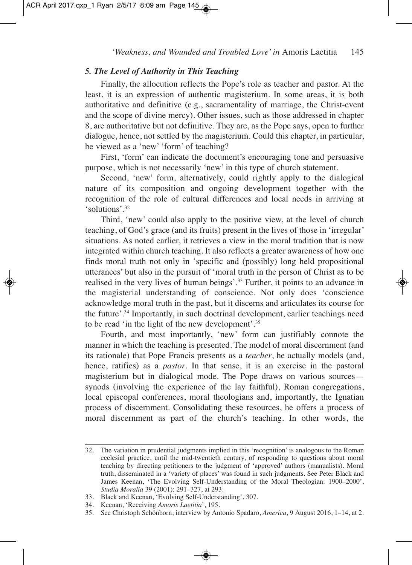#### *5. The Level of Authority in This Teaching*

Finally, the allocution reflects the Pope's role as teacher and pastor. At the least, it is an expression of authentic magisterium. In some areas, it is both authoritative and definitive (e.g., sacramentality of marriage, the Christ-event and the scope of divine mercy). Other issues, such as those addressed in chapter 8, are authoritative but not definitive. They are, as the Pope says, open to further dialogue, hence, not settled by the magisterium. Could this chapter, in particular, be viewed as a 'new' 'form' of teaching?

First, 'form' can indicate the document's encouraging tone and persuasive purpose, which is not necessarily 'new' in this type of church statement.

Second, 'new' form, alternatively, could rightly apply to the dialogical nature of its composition and ongoing development together with the recognition of the role of cultural differences and local needs in arriving at 'solutions'. 32

Third, 'new' could also apply to the positive view, at the level of church teaching, of God's grace (and its fruits) present in the lives of those in 'irregular' situations. As noted earlier, it retrieves a view in the moral tradition that is now integrated within church teaching. It also reflects a greater awareness of how one finds moral truth not only in 'specific and (possibly) long held propositional utterances' but also in the pursuit of 'moral truth in the person of Christ as to be realised in the very lives of human beings'. <sup>33</sup> Further, it points to an advance in the magisterial understanding of conscience. Not only does 'conscience acknowledge moral truth in the past, but it discerns and articulates its course for the future'. <sup>34</sup> Importantly, in such doctrinal development, earlier teachings need to be read 'in the light of the new development'. 35

Fourth, and most importantly, 'new' form can justifiably connote the manner in which the teaching is presented. The model of moral discernment (and its rationale) that Pope Francis presents as a *teacher*, he actually models (and, hence, ratifies) as a *pastor*. In that sense, it is an exercise in the pastoral magisterium but in dialogical mode. The Pope draws on various sources synods (involving the experience of the lay faithful), Roman congregations, local episcopal conferences, moral theologians and, importantly, the Ignatian process of discernment. Consolidating these resources, he offers a process of moral discernment as part of the church's teaching. In other words, the

<sup>32.</sup> The variation in prudential judgments implied in this 'recognition' is analogous to the Roman ecclesial practice, until the mid-twentieth century, of responding to questions about moral teaching by directing petitioners to the judgment of 'approved' authors (manualists). Moral truth, disseminated in a 'variety of places' was found in such judgments. See Peter Black and James Keenan, 'The Evolving Self-Understanding of the Moral Theologian: 1900–2000', *Studia Moralia* 39 (2001): 291–327, at 293.

<sup>33.</sup> Black and Keenan, 'Evolving Self-Understanding', 307.

<sup>34.</sup> Keenan, 'Receiving *Amoris Laetitia*', 195.

<sup>35.</sup> See Christoph Schönborn, interview by Antonio Spadaro, *America*, 9 August 2016, 1–14, at 2.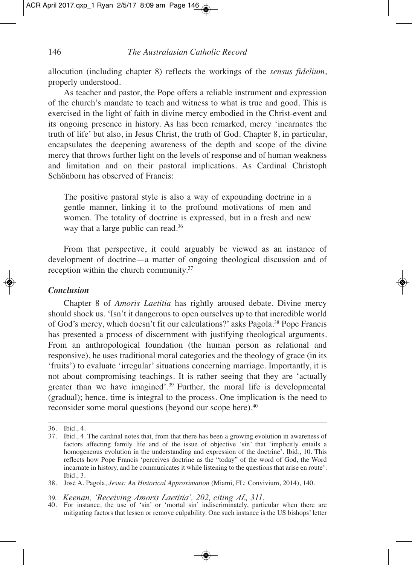allocution (including chapter 8) reflects the workings of the *sensus fidelium*, properly understood.

As teacher and pastor, the Pope offers a reliable instrument and expression of the church's mandate to teach and witness to what is true and good. This is exercised in the light of faith in divine mercy embodied in the Christ-event and its ongoing presence in history. As has been remarked, mercy 'incarnates the truth of life' but also, in Jesus Christ, the truth of God. Chapter 8, in particular, encapsulates the deepening awareness of the depth and scope of the divine mercy that throws further light on the levels of response and of human weakness and limitation and on their pastoral implications. As Cardinal Christoph Schönborn has observed of Francis:

The positive pastoral style is also a way of expounding doctrine in a gentle manner, linking it to the profound motivations of men and women. The totality of doctrine is expressed, but in a fresh and new way that a large public can read. 36

From that perspective, it could arguably be viewed as an instance of development of doctrine—a matter of ongoing theological discussion and of reception within the church community. 37

#### *Conclusion*

Chapter 8 of *Amoris Laetitia* has rightly aroused debate. Divine mercy should shock us. 'Isn't it dangerous to open ourselves up to that incredible world of God's mercy, which doesn't fit our calculations?' asks Pagola. <sup>38</sup> Pope Francis has presented a process of discernment with justifying theological arguments. From an anthropological foundation (the human person as relational and responsive), he uses traditional moral categories and the theology of grace (in its 'fruits') to evaluate 'irregular' situations concerning marriage. Importantly, it is not about compromising teachings. It is rather seeing that they are 'actually greater than we have imagined'. <sup>39</sup> Further, the moral life is developmental (gradual); hence, time is integral to the process. One implication is the need to reconsider some moral questions (beyond our scope here). 40

<sup>36.</sup> Ibid., 4.

<sup>37.</sup> Ibid., 4. The cardinal notes that, from that there has been a growing evolution in awareness of factors affecting family life and of the issue of objective 'sin' that 'implicitly entails a homogeneous evolution in the understanding and expression of the doctrine'. Ibid., 10. This reflects how Pope Francis 'perceives doctrine as the "today" of the word of God, the Word incarnate in history, and he communicates it while listening to the questions that arise en route'. Ibid., 3.

<sup>38.</sup> José A. Pagola, *Jesus: An Historical Approximation* (Miami, FL: Convivium, 2014), 140.

<sup>39.</sup> *Keenan, 'Receiving Amoris Laetitia'*, 202, citing AL, 311.<br>40. For instance, the use of 'sin' or 'mortal sin' indiscriminately, particular when there are mitigating factors that lessen or remove culpability. One such instance is the US bishops' letter